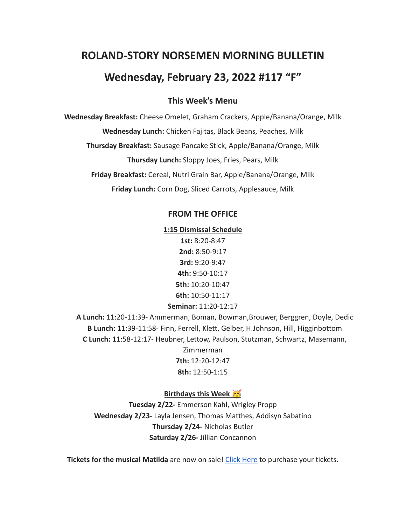# **ROLAND-STORY NORSEMEN MORNING BULLETIN**

## **Wednesday, February 23, 2022 #117 "F"**

## **This Week's Menu**

**Wednesday Breakfast:** Cheese Omelet, Graham Crackers, Apple/Banana/Orange, Milk

**Wednesday Lunch:** Chicken Fajitas, Black Beans, Peaches, Milk

**Thursday Breakfast:** Sausage Pancake Stick, Apple/Banana/Orange, Milk

**Thursday Lunch:** Sloppy Joes, Fries, Pears, Milk

**Friday Breakfast:** Cereal, Nutri Grain Bar, Apple/Banana/Orange, Milk

**Friday Lunch:** Corn Dog, Sliced Carrots, Applesauce, Milk

#### **FROM THE OFFICE**

**1:15 Dismissal Schedule**

**1st:** 8:20-8:47 **2nd:** 8:50-9:17 **3rd:** 9:20-9:47 **4th:** 9:50-10:17 **5th:** 10:20-10:47 **6th:** 10:50-11:17 **Seminar:** 11:20-12:17

**A Lunch:** 11:20-11:39- Ammerman, Boman, Bowman,Brouwer, Berggren, Doyle, Dedic **B Lunch:** 11:39-11:58- Finn, Ferrell, Klett, Gelber, H.Johnson, Hill, Higginbottom **C Lunch:** 11:58-12:17- Heubner, Lettow, Paulson, Stutzman, Schwartz, Masemann, Zimmerman

**7th:** 12:20-12:47 **8th:** 12:50-1:15

#### **Birthdays this Week**

**Tuesday 2/22-** Emmerson Kahl, Wrigley Propp **Wednesday 2/23-** Layla Jensen, Thomas Matthes, Addisyn Sabatino **Thursday 2/24-** Nicholas Butler **Saturday 2/26-** Jillian Concannon

**Tickets for the musical Matilda** are now on sale! Click [Here](https://events.ticketspicket.com/agency/a61f75f7-997a-4241-b0ab-0eae5600323f) to purchase your tickets.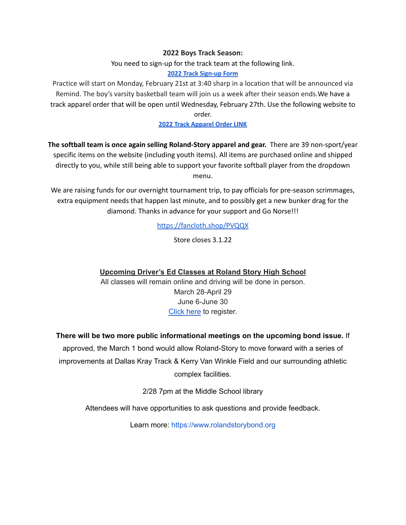#### **2022 Boys Track Season:**

You need to sign-up for the track team at the following link.

#### **[2022 Track Sign-up Form](https://forms.gle/cJrfdfow4pRoh9sw6)**

Practice will start on Monday, February 21st at 3:40 sharp in a location that will be announced via Remind. The boy's varsity basketball team will join us a week after their season ends.We have a track apparel order that will be open until Wednesday, February 27th. Use the following website to order.

#### **[2022 Track Apparel Order LINK](https://rstrack22.itemorder.com/shop/sale/)**

**The softball team is once again selling Roland-Story apparel and gear.** There are 39 non-sport/year specific items on the website (including youth items). All items are purchased online and shipped directly to you, while still being able to support your favorite softball player from the dropdown menu.

We are raising funds for our overnight tournament trip, to pay officials for pre-season scrimmages, extra equipment needs that happen last minute, and to possibly get a new bunker drag for the diamond. Thanks in advance for your support and Go Norse!!!

<https://fancloth.shop/PVQQX>

Store closes 3.1.22

## **Upcoming Driver's Ed Classes at Roland Story High School**

All classes will remain online and driving will be done in person. March 28-April 29 June 6-June 30 [Click](http://streetsmartsdriversed.com/) here to register.

## **There will be two more public informational meetings on the upcoming bond issue.** If

approved, the March 1 bond would allow Roland-Story to move forward with a series of improvements at Dallas Kray Track & Kerry Van Winkle Field and our surrounding athletic complex facilities.

2/28 7pm at the Middle School library

Attendees will have opportunities to ask questions and provide feedback.

Learn more: [https://www.rolandstorybond.org](https://www.rolandstorybond.org/?fbclid=IwAR3AJHhy8S8KvQsof-Z44UTrIBXDkOZFSdMyUXMovrg0bH3FkvkTprNkFuM)